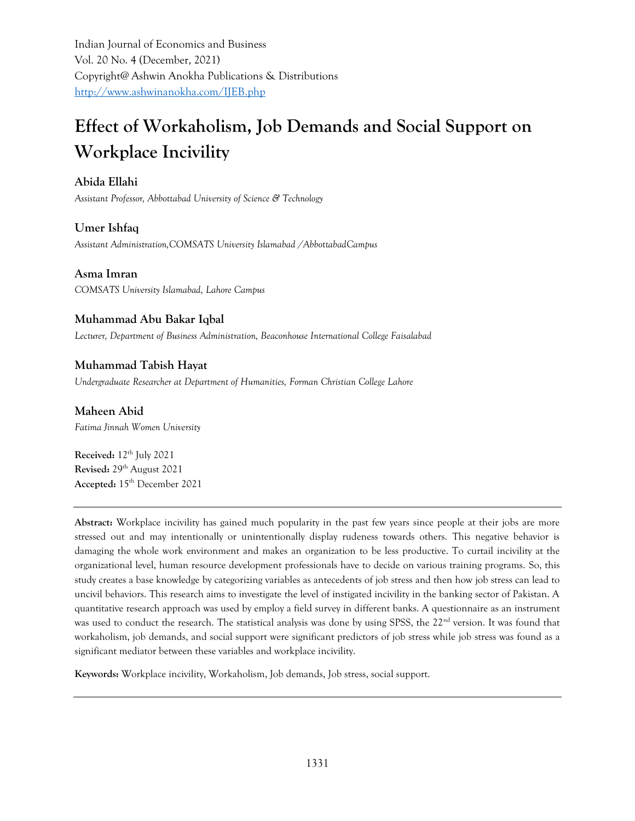Indian Journal of Economics and Business Vol. 20 No. 4 (December, 2021) Copyright@ Ashwin Anokha Publications & Distributions <http://www.ashwinanokha.com/IJEB.php>

# **Effect of Workaholism, Job Demands and Social Support on Workplace Incivility**

# **Abida Ellahi**

*Assistant Professor, Abbottabad University of Science & Technology*

**Umer Ishfaq** *Assistant Administration,COMSATS University Islamabad /AbbottabadCampus*

**Asma Imran**  *COMSATS University Islamabad, Lahore Campus* 

# **Muhammad Abu Bakar Iqbal**

*Lecturer, Department of Business Administration, Beaconhouse International College Faisalabad*

# **Muhammad Tabish Hayat**

*Undergraduate Researcher at Department of Humanities, Forman Christian College Lahore*

# **Maheen Abid**

*Fatima Jinnah Women University*

**Received:** 12 th July 2021 **Revised:** 29 th August 2021 **Accepted:** 15 th December 2021

**Abstract:** Workplace incivility has gained much popularity in the past few years since people at their jobs are more stressed out and may intentionally or unintentionally display rudeness towards others. This negative behavior is damaging the whole work environment and makes an organization to be less productive. To curtail incivility at the organizational level, human resource development professionals have to decide on various training programs. So, this study creates a base knowledge by categorizing variables as antecedents of job stress and then how job stress can lead to uncivil behaviors. This research aims to investigate the level of instigated incivility in the banking sector of Pakistan. A quantitative research approach was used by employ a field survey in different banks. A questionnaire as an instrument was used to conduct the research. The statistical analysis was done by using SPSS, the 22<sup>nd</sup> version. It was found that workaholism, job demands, and social support were significant predictors of job stress while job stress was found as a significant mediator between these variables and workplace incivility.

**Keywords:** Workplace incivility, Workaholism, Job demands, Job stress, social support.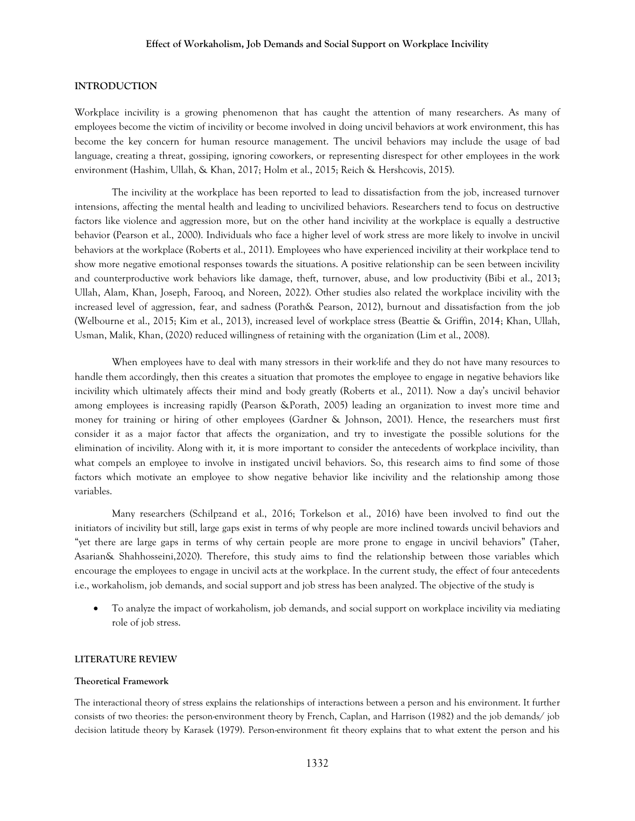### **INTRODUCTION**

Workplace incivility is a growing phenomenon that has caught the attention of many researchers. As many of employees become the victim of incivility or become involved in doing uncivil behaviors at work environment, this has become the key concern for human resource management. The uncivil behaviors may include the usage of bad language, creating a threat, gossiping, ignoring coworkers, or representing disrespect for other employees in the work environment (Hashim, Ullah, & Khan, 2017; Holm et al., 2015; Reich & Hershcovis, 2015).

The incivility at the workplace has been reported to lead to dissatisfaction from the job, increased turnover intensions, affecting the mental health and leading to uncivilized behaviors. Researchers tend to focus on destructive factors like violence and aggression more, but on the other hand incivility at the workplace is equally a destructive behavior (Pearson et al., 2000). Individuals who face a higher level of work stress are more likely to involve in uncivil behaviors at the workplace (Roberts et al., 2011). Employees who have experienced incivility at their workplace tend to show more negative emotional responses towards the situations. A positive relationship can be seen between incivility and counterproductive work behaviors like damage, theft, turnover, abuse, and low productivity (Bibi et al., 2013; Ullah, Alam, Khan, Joseph, Farooq, and Noreen, 2022). Other studies also related the workplace incivility with the increased level of aggression, fear, and sadness (Porath& Pearson, 2012), burnout and dissatisfaction from the job (Welbourne et al., 2015; Kim et al., 2013), increased level of workplace stress (Beattie & Griffin, 2014; Khan, Ullah, Usman, Malik, Khan, (2020) reduced willingness of retaining with the organization (Lim et al., 2008).

When employees have to deal with many stressors in their work-life and they do not have many resources to handle them accordingly, then this creates a situation that promotes the employee to engage in negative behaviors like incivility which ultimately affects their mind and body greatly (Roberts et al., 2011). Now a day's uncivil behavior among employees is increasing rapidly (Pearson &Porath, 2005) leading an organization to invest more time and money for training or hiring of other employees (Gardner & Johnson, 2001). Hence, the researchers must first consider it as a major factor that affects the organization, and try to investigate the possible solutions for the elimination of incivility. Along with it, it is more important to consider the antecedents of workplace incivility, than what compels an employee to involve in instigated uncivil behaviors. So, this research aims to find some of those factors which motivate an employee to show negative behavior like incivility and the relationship among those variables.

Many researchers (Schilpzand et al., 2016; Torkelson et al., 2016) have been involved to find out the initiators of incivility but still, large gaps exist in terms of why people are more inclined towards uncivil behaviors and "yet there are large gaps in terms of why certain people are more prone to engage in uncivil behaviors" (Taher, Asarian& Shahhosseini,2020). Therefore, this study aims to find the relationship between those variables which encourage the employees to engage in uncivil acts at the workplace. In the current study, the effect of four antecedents i.e., workaholism, job demands, and social support and job stress has been analyzed. The objective of the study is

 To analyze the impact of workaholism, job demands, and social support on workplace incivility via mediating role of job stress.

#### **LITERATURE REVIEW**

#### **Theoretical Framework**

The interactional theory of stress explains the relationships of interactions between a person and his environment. It further consists of two theories: the person-environment theory by French, Caplan, and Harrison (1982) and the job demands/ job decision latitude theory by Karasek (1979). Person-environment fit theory explains that to what extent the person and his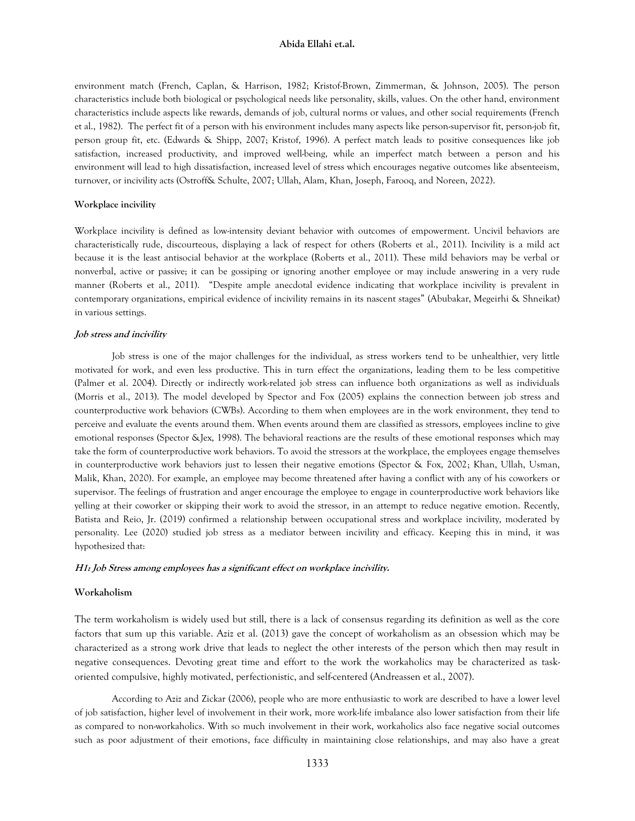environment match (French, Caplan, & Harrison, 1982; Kristof-Brown, Zimmerman, & Johnson, 2005). The person characteristics include both biological or psychological needs like personality, skills, values. On the other hand, environment characteristics include aspects like rewards, demands of job, cultural norms or values, and other social requirements (French et al., 1982). The perfect fit of a person with his environment includes many aspects like person-supervisor fit, person-job fit, person group fit, etc. (Edwards & Shipp, 2007; Kristof, 1996). A perfect match leads to positive consequences like job satisfaction, increased productivity, and improved well-being, while an imperfect match between a person and his environment will lead to high dissatisfaction, increased level of stress which encourages negative outcomes like absenteeism, turnover, or incivility acts (Ostroff& Schulte, 2007; Ullah, Alam, Khan, Joseph, Farooq, and Noreen, 2022).

#### **Workplace incivility**

Workplace incivility is defined as low-intensity deviant behavior with outcomes of empowerment. Uncivil behaviors are characteristically rude, discourteous, displaying a lack of respect for others (Roberts et al., 2011). Incivility is a mild act because it is the least antisocial behavior at the workplace (Roberts et al., 2011). These mild behaviors may be verbal or nonverbal, active or passive; it can be gossiping or ignoring another employee or may include answering in a very rude manner (Roberts et al., 2011). "Despite ample anecdotal evidence indicating that workplace incivility is prevalent in contemporary organizations, empirical evidence of incivility remains in its nascent stages" (Abubakar, Megeirhi & Shneikat) in various settings.

#### **Job stress and incivility**

Job stress is one of the major challenges for the individual, as stress workers tend to be unhealthier, very little motivated for work, and even less productive. This in turn effect the organizations, leading them to be less competitive (Palmer et al. 2004). Directly or indirectly work-related job stress can influence both organizations as well as individuals (Morris et al., 2013). The model developed by Spector and Fox (2005) explains the connection between job stress and counterproductive work behaviors (CWBs). According to them when employees are in the work environment, they tend to perceive and evaluate the events around them. When events around them are classified as stressors, employees incline to give emotional responses (Spector &Jex, 1998). The behavioral reactions are the results of these emotional responses which may take the form of counterproductive work behaviors. To avoid the stressors at the workplace, the employees engage themselves in counterproductive work behaviors just to lessen their negative emotions (Spector & Fox, 2002; Khan, Ullah, Usman, Malik, Khan, 2020). For example, an employee may become threatened after having a conflict with any of his coworkers or supervisor. The feelings of frustration and anger encourage the employee to engage in counterproductive work behaviors like yelling at their coworker or skipping their work to avoid the stressor, in an attempt to reduce negative emotion. Recently, Batista and Reio, Jr. (2019) confirmed a relationship between occupational stress and workplace incivility, moderated by personality. Lee (2020) studied job stress as a mediator between incivility and efficacy. Keeping this in mind, it was hypothesized that:

#### **H1: Job Stress among employees has a significant effect on workplace incivility.**

#### **Workaholism**

The term workaholism is widely used but still, there is a lack of consensus regarding its definition as well as the core factors that sum up this variable. Aziz et al. (2013) gave the concept of workaholism as an obsession which may be characterized as a strong work drive that leads to neglect the other interests of the person which then may result in negative consequences. Devoting great time and effort to the work the workaholics may be characterized as taskoriented compulsive, highly motivated, perfectionistic, and self-centered (Andreassen et al., 2007).

According to Aziz and Zickar (2006), people who are more enthusiastic to work are described to have a lower level of job satisfaction, higher level of involvement in their work, more work-life imbalance also lower satisfaction from their life as compared to non-workaholics. With so much involvement in their work, workaholics also face negative social outcomes such as poor adjustment of their emotions, face difficulty in maintaining close relationships, and may also have a great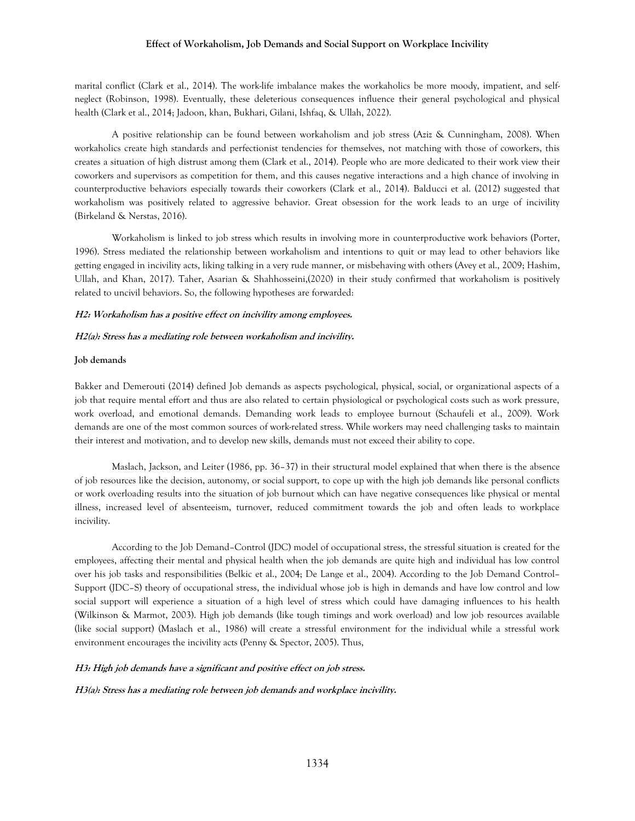marital conflict (Clark et al., 2014). The work-life imbalance makes the workaholics be more moody, impatient, and selfneglect (Robinson, 1998). Eventually, these deleterious consequences influence their general psychological and physical health (Clark et al., 2014; Jadoon, khan, Bukhari, Gilani, Ishfaq, & Ullah, 2022).

A positive relationship can be found between workaholism and job stress (Aziz & Cunningham, 2008). When workaholics create high standards and perfectionist tendencies for themselves, not matching with those of coworkers, this creates a situation of high distrust among them (Clark et al., 2014). People who are more dedicated to their work view their coworkers and supervisors as competition for them, and this causes negative interactions and a high chance of involving in counterproductive behaviors especially towards their coworkers (Clark et al., 2014). Balducci et al. (2012) suggested that workaholism was positively related to aggressive behavior. Great obsession for the work leads to an urge of incivility (Birkeland & Nerstas, 2016).

Workaholism is linked to job stress which results in involving more in counterproductive work behaviors (Porter, 1996). Stress mediated the relationship between workaholism and intentions to quit or may lead to other behaviors like getting engaged in incivility acts, liking talking in a very rude manner, or misbehaving with others (Avey et al., 2009; Hashim, Ullah, and Khan, 2017). Taher, Asarian & Shahhosseini,(2020) in their study confirmed that workaholism is positively related to uncivil behaviors. So, the following hypotheses are forwarded:

### **H2: Workaholism has a positive effect on incivility among employees.**

### **H2(a): Stress has a mediating role between workaholism and incivility.**

#### **Job demands**

Bakker and Demerouti (2014) defined Job demands as aspects psychological, physical, social, or organizational aspects of a job that require mental effort and thus are also related to certain physiological or psychological costs such as work pressure, work overload, and emotional demands. Demanding work leads to employee burnout (Schaufeli et al., 2009). Work demands are one of the most common sources of work-related stress. While workers may need challenging tasks to maintain their interest and motivation, and to develop new skills, demands must not exceed their ability to cope.

Maslach, Jackson, and Leiter (1986, pp. 36–37) in their structural model explained that when there is the absence of job resources like the decision, autonomy, or social support, to cope up with the high job demands like personal conflicts or work overloading results into the situation of job burnout which can have negative consequences like physical or mental illness, increased level of absenteeism, turnover, reduced commitment towards the job and often leads to workplace incivility.

According to the Job Demand–Control (JDC) model of occupational stress, the stressful situation is created for the employees, affecting their mental and physical health when the job demands are quite high and individual has low control over his job tasks and responsibilities (Belkic et al., 2004; De Lange et al., 2004). According to the Job Demand Control– Support (JDC–S) theory of occupational stress, the individual whose job is high in demands and have low control and low social support will experience a situation of a high level of stress which could have damaging influences to his health (Wilkinson & Marmot, 2003). High job demands (like tough timings and work overload) and low job resources available (like social support) (Maslach et al., 1986) will create a stressful environment for the individual while a stressful work environment encourages the incivility acts (Penny & Spector, 2005). Thus,

### **H3: High job demands have a significant and positive effect on job stress.**

### **H3(a): Stress has a mediating role between job demands and workplace incivility.**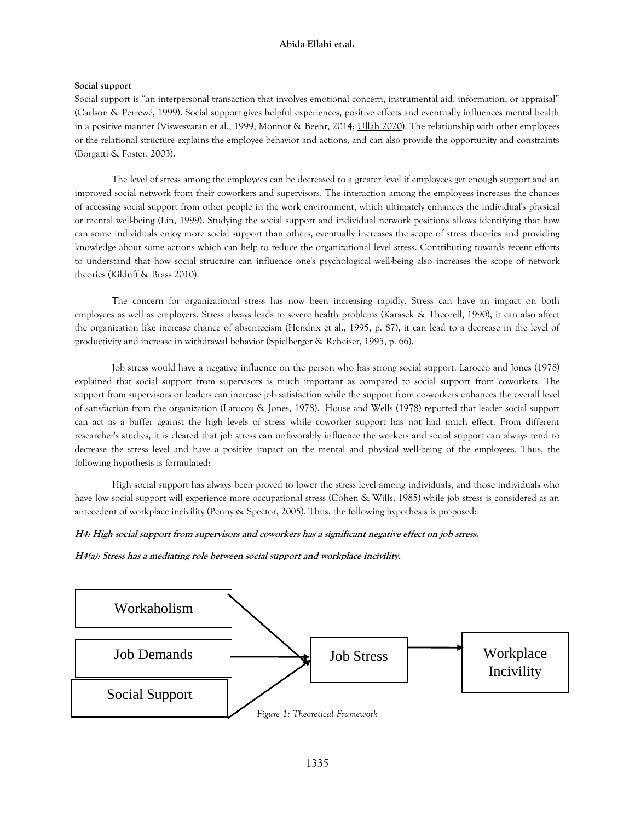### **Social support**

Social support is "an interpersonal transaction that involves emotional concern, instrumental aid, information, or appraisal" (Carlson & Perrewé, 1999). Social support gives helpful experiences, positive effects and eventually influences mental health in a positive manner (Viswesvaran et al., 1999; Monnot & Beehr, 2014; Ullah 2020). The relationship with other employees or the relational structure explains the employee behavior and actions, and can also provide the opportunity and constraints (Borgatti & Foster, 2003).

The level of stress among the employees can be decreased to a greater level if employees get enough support and an improved social network from their coworkers and supervisors. The interaction among the employees increases the chances of accessing social support from other people in the work environment, which ultimately enhances the individual's physical or mental well-being (Lin, 1999). Studying the social support and individual network positions allows identifying that how can some individuals enjoy more social support than others, eventually increases the scope of stress theories and providing knowledge about some actions which can help to reduce the organizational level stress. Contributing towards recent efforts to understand that how social structure can influence one's psychological well-being also increases the scope of network theories (Kilduff & Brass 2010).

The concern for organizational stress has now been increasing rapidly. Stress can have an impact on both employees as well as employers. Stress always leads to severe health problems (Karasek & Theorell, 1990), it can also affect the organization like increase chance of absenteeism (Hendrix et al., 1995, p. 87), it can lead to a decrease in the level of productivity and increase in withdrawal behavior (Spielberger & Reheiser, 1995, p. 66).

Job stress would have a negative influence on the person who has strong social support. Larocco and Jones (1978) explained that social support from supervisors is much important as compared to social support from coworkers. The support from supervisors or leaders can increase job satisfaction while the support from co-workers enhances the overall level of satisfaction from the organization (Larocco & Jones, 1978). House and Wells (1978) reported that leader social support can act as a buffer against the high levels of stress while coworker support has not had much effect. From different researcher's studies, it is cleared that job stress can unfavorably influence the workers and social support can always tend to decrease the stress level and have a positive impact on the mental and physical well-being of the employees. Thus, the following hypothesis is formulated:

High social support has always been proved to lower the stress level among individuals, and those individuals who have low social support will experience more occupational stress (Cohen & Wills, 1985) while job stress is considered as an antecedent of workplace incivility (Penny & Spector, 2005). Thus, the following hypothesis is proposed:

### **H4: High social support from supervisors and coworkers has a significant negative effect on job stress.**

**H4(a): Stress has a mediating role between social support and workplace incivility.**

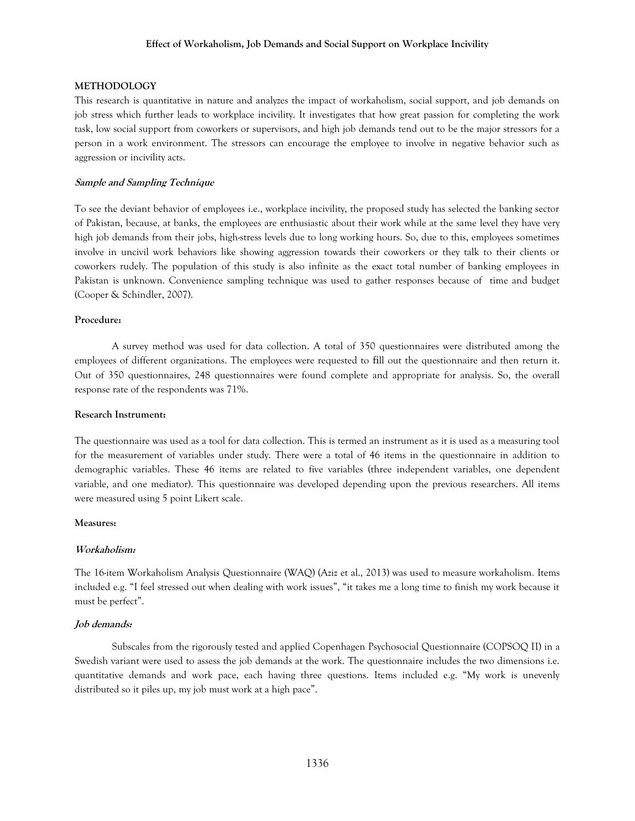# **METHODOLOGY**

This research is quantitative in nature and analyzes the impact of workaholism, social support, and job demands on job stress which further leads to workplace incivility. It investigates that how great passion for completing the work task, low social support from coworkers or supervisors, and high job demands tend out to be the major stressors for a person in a work environment. The stressors can encourage the employee to involve in negative behavior such as aggression or incivility acts.

# **Sample and Sampling Technique**

To see the deviant behavior of employees i.e., workplace incivility, the proposed study has selected the banking sector of Pakistan, because, at banks, the employees are enthusiastic about their work while at the same level they have very high job demands from their jobs, high-stress levels due to long working hours. So, due to this, employees sometimes involve in uncivil work behaviors like showing aggression towards their coworkers or they talk to their clients or coworkers rudely. The population of this study is also infinite as the exact total number of banking employees in Pakistan is unknown. Convenience sampling technique was used to gather responses because of time and budget (Cooper & Schindler, 2007).

# **Procedure:**

A survey method was used for data collection. A total of 350 questionnaires were distributed among the employees of different organizations. The employees were requested to fill out the questionnaire and then return it. Out of 350 questionnaires, 248 questionnaires were found complete and appropriate for analysis. So, the overall response rate of the respondents was 71%.

# **Research Instrument:**

The questionnaire was used as a tool for data collection. This is termed an instrument as it is used as a measuring tool for the measurement of variables under study. There were a total of 46 items in the questionnaire in addition to demographic variables. These 46 items are related to five variables (three independent variables, one dependent variable, and one mediator). This questionnaire was developed depending upon the previous researchers. All items were measured using 5 point Likert scale.

# **Measures:**

# **Workaholism:**

The 16-item Workaholism Analysis Questionnaire (WAQ) (Aziz et al., 2013) was used to measure workaholism*.* Items included e.g. "I feel stressed out when dealing with work issues", "it takes me a long time to finish my work because it must be perfect".

# **Job demands:**

Subscales from the rigorously tested and applied Copenhagen Psychosocial Questionnaire (COPSOQ II) in a Swedish variant were used to assess the job demands at the work. The questionnaire includes the two dimensions i.e. quantitative demands and work pace, each having three questions. Items included e.g. "My work is unevenly distributed so it piles up, my job must work at a high pace".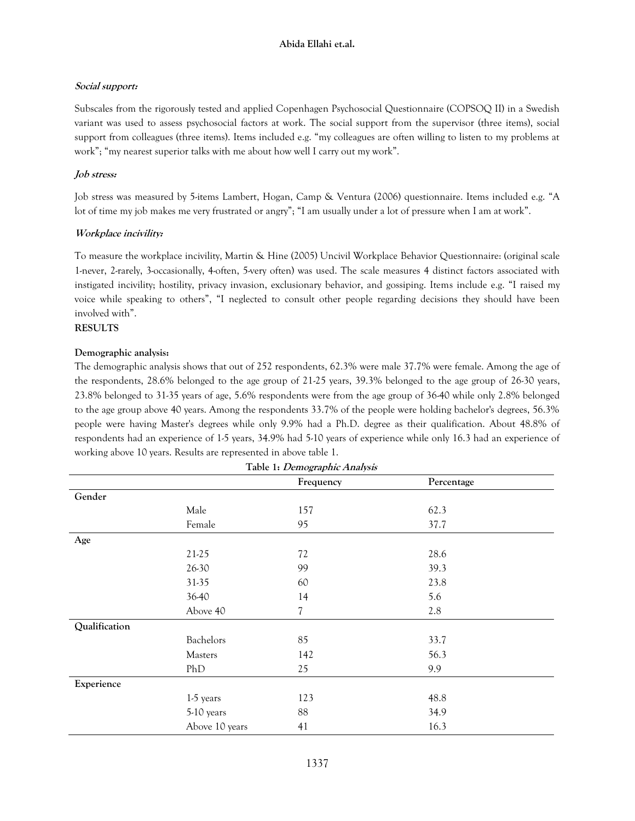# **Social support:**

Subscales from the rigorously tested and applied Copenhagen Psychosocial Questionnaire (COPSOQ II) in a Swedish variant was used to assess psychosocial factors at work. The social support from the supervisor (three items), social support from colleagues (three items). Items included e.g. "my colleagues are often willing to listen to my problems at work"; "my nearest superior talks with me about how well I carry out my work".

# **Job stress:**

Job stress was measured by 5-items Lambert, Hogan, Camp & Ventura (2006) questionnaire. Items included e.g. "A lot of time my job makes me very frustrated or angry"; "I am usually under a lot of pressure when I am at work".

# **Workplace incivility:**

To measure the workplace incivility, Martin & Hine (2005) Uncivil Workplace Behavior Questionnaire: (original scale 1-never, 2-rarely, 3-occasionally, 4-often, 5-very often) was used. The scale measures 4 distinct factors associated with instigated incivility; hostility, privacy invasion, exclusionary behavior, and gossiping. Items include e.g. "I raised my voice while speaking to others", "I neglected to consult other people regarding decisions they should have been involved with".

# **RESULTS**

# **Demographic analysis:**

The demographic analysis shows that out of 252 respondents, 62.3% were male 37.7% were female. Among the age of the respondents, 28.6% belonged to the age group of 21-25 years, 39.3% belonged to the age group of 26-30 years, 23.8% belonged to 31-35 years of age, 5.6% respondents were from the age group of 36-40 while only 2.8% belonged to the age group above 40 years. Among the respondents 33.7% of the people were holding bachelor's degrees, 56.3% people were having Master's degrees while only 9.9% had a Ph.D. degree as their qualification. About 48.8% of respondents had an experience of 1-5 years, 34.9% had 5-10 years of experience while only 16.3 had an experience of working above 10 years. Results are represented in above table 1.

| Table 1: Demographic Analysis |            |                          |      |  |  |  |  |  |  |
|-------------------------------|------------|--------------------------|------|--|--|--|--|--|--|
| Frequency<br>Percentage       |            |                          |      |  |  |  |  |  |  |
| Gender                        |            |                          |      |  |  |  |  |  |  |
|                               | Male       | 157                      | 62.3 |  |  |  |  |  |  |
|                               | Female     | 95                       | 37.7 |  |  |  |  |  |  |
| Age                           |            |                          |      |  |  |  |  |  |  |
|                               | 21-25      | 72                       | 28.6 |  |  |  |  |  |  |
|                               | 26-30      | 99                       | 39.3 |  |  |  |  |  |  |
|                               | 31-35      | 60                       | 23.8 |  |  |  |  |  |  |
|                               | 36-40      | 14                       | 5.6  |  |  |  |  |  |  |
|                               | Above 40   | $\overline{\mathcal{U}}$ | 2.8  |  |  |  |  |  |  |
| Qualification                 |            |                          |      |  |  |  |  |  |  |
|                               | Bachelors  | 85                       | 33.7 |  |  |  |  |  |  |
|                               | Masters    | 142                      | 56.3 |  |  |  |  |  |  |
|                               | PhD        | 25                       | 9.9  |  |  |  |  |  |  |
| Experience                    |            |                          |      |  |  |  |  |  |  |
|                               | 1-5 years  | 123                      | 48.8 |  |  |  |  |  |  |
|                               | 5-10 years | 88                       | 34.9 |  |  |  |  |  |  |
| 16.3<br>Above 10 years<br>41  |            |                          |      |  |  |  |  |  |  |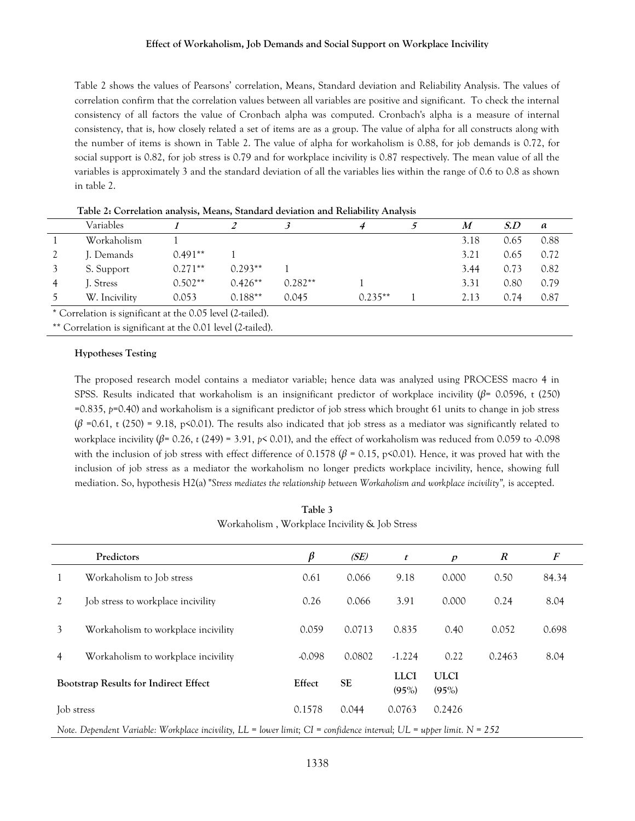Table 2 shows the values of Pearsons' correlation, Means, Standard deviation and Reliability Analysis. The values of correlation confirm that the correlation values between all variables are positive and significant. To check the internal consistency of all factors the value of Cronbach alpha was computed. Cronbach's alpha is a measure of internal consistency, that is, how closely related a set of items are as a group. The value of alpha for all constructs along with the number of items is shown in Table 2. The value of alpha for workaholism is 0.88, for job demands is 0.72, for social support is 0.82, for job stress is 0.79 and for workplace incivility is 0.87 respectively. The mean value of all the variables is approximately 3 and the standard deviation of all the variables lies within the range of 0.6 to 0.8 as shown in table 2.

|   | Variables                                                  |           |           |           |           | M    | S.D  | a    |
|---|------------------------------------------------------------|-----------|-----------|-----------|-----------|------|------|------|
|   | Workaholism                                                |           |           |           |           | 3.18 | 0.65 | 0.88 |
|   | J. Demands                                                 | $0.491**$ |           |           |           | 3.21 | 0.65 | 0.72 |
|   | S. Support                                                 | $0.271**$ | $0.293**$ |           |           | 3.44 | 0.73 | 0.82 |
| 4 | I. Stress                                                  | $0.502**$ | $0.426**$ | $0.282**$ |           | 3.31 | 0.80 | 0.79 |
|   | W. Incivility                                              | 0.053     | $0.188**$ | 0.045     | $0.235**$ | 2.13 | 0.74 | 0.87 |
|   | * Correlation is significant at the 0.05 level (2-tailed). |           |           |           |           |      |      |      |
|   |                                                            |           |           |           |           |      |      |      |

**Table 2: Correlation analysis, Means, Standard deviation and Reliability Analysis**

\*\* Correlation is significant at the 0.01 level (2-tailed).

# **Hypotheses Testing**

The proposed research model contains a mediator variable; hence data was analyzed using PROCESS macro 4 in SPSS. Results indicated that workaholism is an insignificant predictor of workplace incivility (*β*= 0.0596, t (250) =0.835, *p*=0.40) and workaholism is a significant predictor of job stress which brought 61 units to change in job stress  $(\beta = 0.61, t (250) = 9.18, p \le 0.01)$ . The results also indicated that job stress as a mediator was significantly related to workplace incivility (*β*= 0.26, *t* (249) = 3.91, *p*< 0.01), and the effect of workaholism was reduced from 0.059 to -0.098 with the inclusion of job stress with effect difference of 0.1578 ( $β = 0.15$ , p<0.01). Hence, it was proved hat with the inclusion of job stress as a mediator the workaholism no longer predicts workplace incivility, hence, showing full mediation. So, hypothesis H2(a) "*Stress mediates the relationship between Workaholism and workplace incivility",* is accepted.

| Table 3                                         |  |
|-------------------------------------------------|--|
| Workaholism , Workplace Incivility & Job Stress |  |

|                                              | Predictors                                                                                                               | $\beta$  | (SE)   | t                    | $\boldsymbol{p}$     | $\boldsymbol{R}$ | F     |  |
|----------------------------------------------|--------------------------------------------------------------------------------------------------------------------------|----------|--------|----------------------|----------------------|------------------|-------|--|
|                                              | Workaholism to Job stress                                                                                                | 0.61     | 0.066  | 9.18                 | 0.000                | 0.50             | 84.34 |  |
| 2                                            | Job stress to workplace incivility                                                                                       | 0.26     | 0.066  | 3.91                 | 0.000                | 0.24             | 8.04  |  |
| 3                                            | Workaholism to workplace incivility                                                                                      | 0.059    | 0.0713 | 0.835                | 0.40                 | 0.052            | 0.698 |  |
| 4                                            | Workaholism to workplace incivility                                                                                      | $-0.098$ | 0.0802 | $-1.224$             | 0.22                 | 0.2463           | 8.04  |  |
| <b>Bootstrap Results for Indirect Effect</b> |                                                                                                                          | Effect   | SE     | <b>LLCI</b><br>(95%) | <b>ULCI</b><br>(95%) |                  |       |  |
| <b>Job</b> stress                            |                                                                                                                          | 0.1578   | 0.044  | 0.0763               | 0.2426               |                  |       |  |
|                                              | Note. Dependent Variable: Workplace incivility, $LL = lower limit$ ; CI = confidence interval; UL = upper limit. N = 252 |          |        |                      |                      |                  |       |  |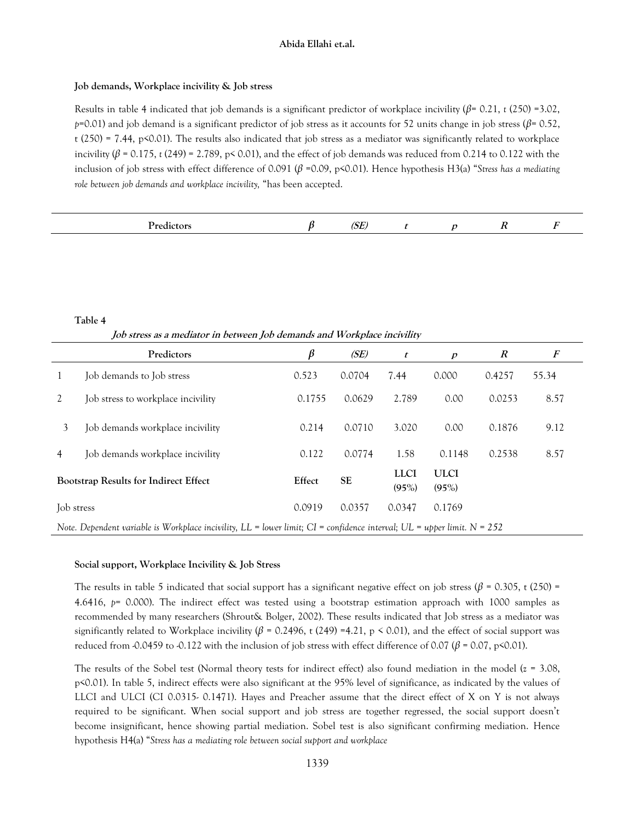### **Job demands, Workplace incivility & Job stress**

Results in table 4 indicated that job demands is a significant predictor of workplace incivility ( $\beta$ = 0.21, *t* (250) =3.02, *p*=0.01) and job demand is a significant predictor of job stress as it accounts for 52 units change in job stress (*β*= 0.52, t (250) = 7.44, p<0.01). The results also indicated that job stress as a mediator was significantly related to workplace incivility  $(\beta = 0.175, t(249) = 2.789, p \le 0.01)$ , and the effect of job demands was reduced from 0.214 to 0.122 with the inclusion of job stress with effect difference of 0.091 (*β* =0.09, p<0.01). Hence hypothesis H3(a) "*Stress has a mediating role between job demands and workplace incivility,* "has been accepted.

| $ -$<br>----------<br>-- |  |
|--------------------------|--|
|--------------------------|--|

**Table 4**

**Job stress as a mediator in between Job demands and Workplace incivility**

|                                              | Predictors                                                                                                                      | $\beta$ | (SE)      | t                    | $\boldsymbol{p}$     | $\boldsymbol{R}$ | F     |  |
|----------------------------------------------|---------------------------------------------------------------------------------------------------------------------------------|---------|-----------|----------------------|----------------------|------------------|-------|--|
|                                              | Job demands to Job stress                                                                                                       | 0.523   | 0.0704    | 7.44                 | 0.000                | 0.4257           | 55.34 |  |
|                                              | Job stress to workplace incivility                                                                                              | 0.1755  | 0.0629    | 2.789                | 0.00                 | 0.0253           | 8.57  |  |
| 3                                            | Job demands workplace incivility                                                                                                | 0.214   | 0.0710    | 3.020                | 0.00                 | 0.1876           | 9.12  |  |
| 4                                            | Job demands workplace incivility                                                                                                | 0.122   | 0.0774    | 1.58                 | 0.1148               | 0.2538           | 8.57  |  |
| <b>Bootstrap Results for Indirect Effect</b> |                                                                                                                                 | Effect  | <b>SE</b> | <b>LLCI</b><br>(95%) | <b>ULCI</b><br>(95%) |                  |       |  |
| Job stress                                   |                                                                                                                                 | 0.0919  | 0.0357    | 0.0347               | 0.1769               |                  |       |  |
|                                              | Note. Dependent variable is Workplace incivility, $LL =$ lower limit; $CI =$ confidence interval; $UL =$ upper limit. $N = 252$ |         |           |                      |                      |                  |       |  |

### **Social support, Workplace Incivility & Job Stress**

The results in table 5 indicated that social support has a significant negative effect on job stress ( $\beta$  = 0.305, t (250) = 4.6416, *p=* 0.000). The indirect effect was tested using a bootstrap estimation approach with 1000 samples as recommended by many researchers (Shrout& Bolger, 2002). These results indicated that Job stress as a mediator was significantly related to Workplace incivility ( $\beta$  = 0.2496, t (249) =4.21, p < 0.01), and the effect of social support was reduced from -0.0459 to -0.122 with the inclusion of job stress with effect difference of 0.07 ( $\beta$  = 0.07, p<0.01).

The results of the Sobel test (Normal theory tests for indirect effect) also found mediation in the model ( $z = 3.08$ , p<0.01). In table 5, indirect effects were also significant at the 95% level of significance, as indicated by the values of LLCI and ULCI (CI 0.0315- 0.1471). Hayes and Preacher assume that the direct effect of X on Y is not always required to be significant. When social support and job stress are together regressed, the social support doesn't become insignificant, hence showing partial mediation. Sobel test is also significant confirming mediation. Hence hypothesis H4(a) "*Stress has a mediating role between social support and workplace*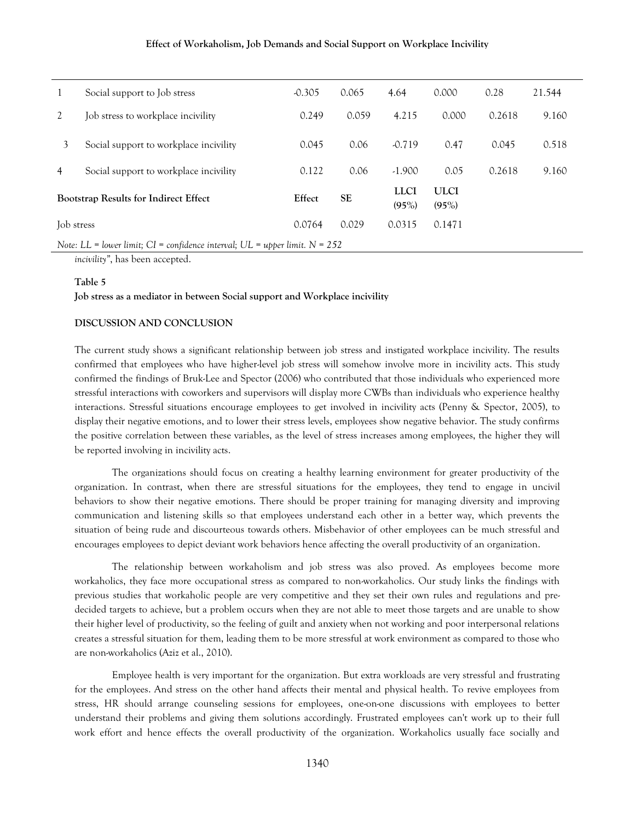| 1                                            | Social support to Job stress                                                  | $-0.305$ | 0.065     | 4.64                    | 0.000                | 0.28   | 21.544 |  |  |
|----------------------------------------------|-------------------------------------------------------------------------------|----------|-----------|-------------------------|----------------------|--------|--------|--|--|
| 2                                            | Job stress to workplace incivility                                            | 0.249    | 0.059     | 4.215                   | 0.000                | 0.2618 | 9.160  |  |  |
| 3                                            | Social support to workplace incivility                                        | 0.045    | 0.06      | $-0.719$                | 0.47                 | 0.045  | 0.518  |  |  |
| 4                                            | Social support to workplace incivility                                        | 0.122    | 0.06      | $-1.900$                | 0.05                 | 0.2618 | 9.160  |  |  |
| <b>Bootstrap Results for Indirect Effect</b> |                                                                               | Effect   | <b>SE</b> | <b>LLCI</b><br>$(95\%)$ | <b>ULCI</b><br>(95%) |        |        |  |  |
| Job stress                                   |                                                                               | 0.0764   | 0.029     | 0.0315                  | 0.1471               |        |        |  |  |
|                                              | Note: LL = lower limit; CI = confidence interval; UL = upper limit. $N = 252$ |          |           |                         |                      |        |        |  |  |

*incivility"*, has been accepted.

#### **Table 5**

**Job stress as a mediator in between Social support and Workplace incivility**

### **DISCUSSION AND CONCLUSION**

The current study shows a significant relationship between job stress and instigated workplace incivility. The results confirmed that employees who have higher-level job stress will somehow involve more in incivility acts. This study confirmed the findings of Bruk-Lee and Spector (2006) who contributed that those individuals who experienced more stressful interactions with coworkers and supervisors will display more CWBs than individuals who experience healthy interactions. Stressful situations encourage employees to get involved in incivility acts (Penny & Spector, 2005), to display their negative emotions, and to lower their stress levels, employees show negative behavior. The study confirms the positive correlation between these variables, as the level of stress increases among employees, the higher they will be reported involving in incivility acts.

The organizations should focus on creating a healthy learning environment for greater productivity of the organization. In contrast, when there are stressful situations for the employees, they tend to engage in uncivil behaviors to show their negative emotions. There should be proper training for managing diversity and improving communication and listening skills so that employees understand each other in a better way, which prevents the situation of being rude and discourteous towards others. Misbehavior of other employees can be much stressful and encourages employees to depict deviant work behaviors hence affecting the overall productivity of an organization.

The relationship between workaholism and job stress was also proved. As employees become more workaholics, they face more occupational stress as compared to non-workaholics. Our study links the findings with previous studies that workaholic people are very competitive and they set their own rules and regulations and predecided targets to achieve, but a problem occurs when they are not able to meet those targets and are unable to show their higher level of productivity, so the feeling of guilt and anxiety when not working and poor interpersonal relations creates a stressful situation for them, leading them to be more stressful at work environment as compared to those who are non-workaholics (Aziz et al., 2010).

Employee health is very important for the organization. But extra workloads are very stressful and frustrating for the employees. And stress on the other hand affects their mental and physical health. To revive employees from stress, HR should arrange counseling sessions for employees, one-on-one discussions with employees to better understand their problems and giving them solutions accordingly. Frustrated employees can't work up to their full work effort and hence effects the overall productivity of the organization. Workaholics usually face socially and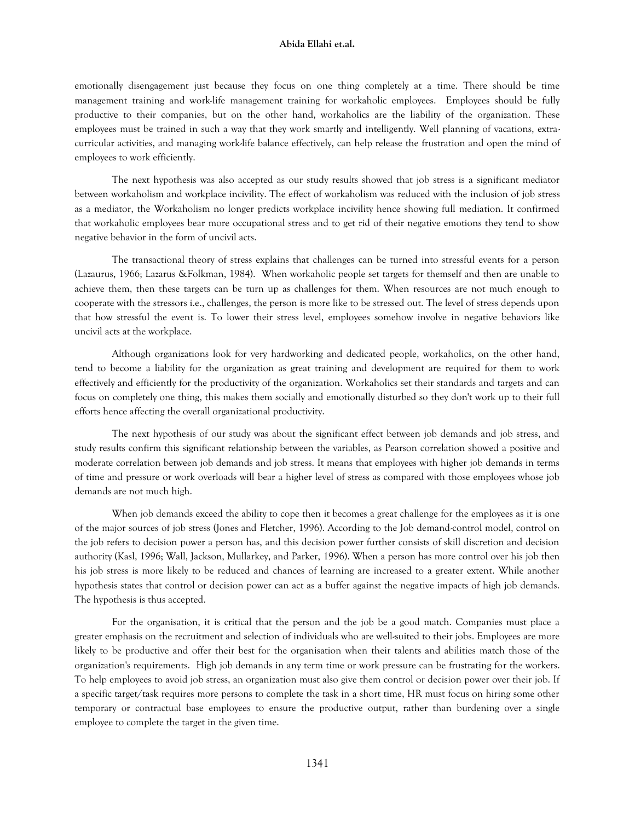emotionally disengagement just because they focus on one thing completely at a time. There should be time management training and work-life management training for workaholic employees. Employees should be fully productive to their companies, but on the other hand, workaholics are the liability of the organization. These employees must be trained in such a way that they work smartly and intelligently. Well planning of vacations, extracurricular activities, and managing work-life balance effectively, can help release the frustration and open the mind of employees to work efficiently.

The next hypothesis was also accepted as our study results showed that job stress is a significant mediator between workaholism and workplace incivility. The effect of workaholism was reduced with the inclusion of job stress as a mediator, the Workaholism no longer predicts workplace incivility hence showing full mediation. It confirmed that workaholic employees bear more occupational stress and to get rid of their negative emotions they tend to show negative behavior in the form of uncivil acts.

The transactional theory of stress explains that challenges can be turned into stressful events for a person (Lazaurus, 1966; Lazarus &Folkman, 1984). When workaholic people set targets for themself and then are unable to achieve them, then these targets can be turn up as challenges for them. When resources are not much enough to cooperate with the stressors i.e., challenges, the person is more like to be stressed out. The level of stress depends upon that how stressful the event is. To lower their stress level, employees somehow involve in negative behaviors like uncivil acts at the workplace.

Although organizations look for very hardworking and dedicated people, workaholics, on the other hand, tend to become a liability for the organization as great training and development are required for them to work effectively and efficiently for the productivity of the organization. Workaholics set their standards and targets and can focus on completely one thing, this makes them socially and emotionally disturbed so they don't work up to their full efforts hence affecting the overall organizational productivity.

The next hypothesis of our study was about the significant effect between job demands and job stress, and study results confirm this significant relationship between the variables, as Pearson correlation showed a positive and moderate correlation between job demands and job stress. It means that employees with higher job demands in terms of time and pressure or work overloads will bear a higher level of stress as compared with those employees whose job demands are not much high.

When job demands exceed the ability to cope then it becomes a great challenge for the employees as it is one of the major sources of job stress (Jones and Fletcher, 1996). According to the Job demand-control model, control on the job refers to decision power a person has, and this decision power further consists of skill discretion and decision authority (Kasl, 1996; Wall, Jackson, Mullarkey, and Parker, 1996). When a person has more control over his job then his job stress is more likely to be reduced and chances of learning are increased to a greater extent. While another hypothesis states that control or decision power can act as a buffer against the negative impacts of high job demands. The hypothesis is thus accepted.

For the organisation, it is critical that the person and the job be a good match. Companies must place a greater emphasis on the recruitment and selection of individuals who are well-suited to their jobs. Employees are more likely to be productive and offer their best for the organisation when their talents and abilities match those of the organization's requirements. High job demands in any term time or work pressure can be frustrating for the workers. To help employees to avoid job stress, an organization must also give them control or decision power over their job. If a specific target/task requires more persons to complete the task in a short time, HR must focus on hiring some other temporary or contractual base employees to ensure the productive output, rather than burdening over a single employee to complete the target in the given time.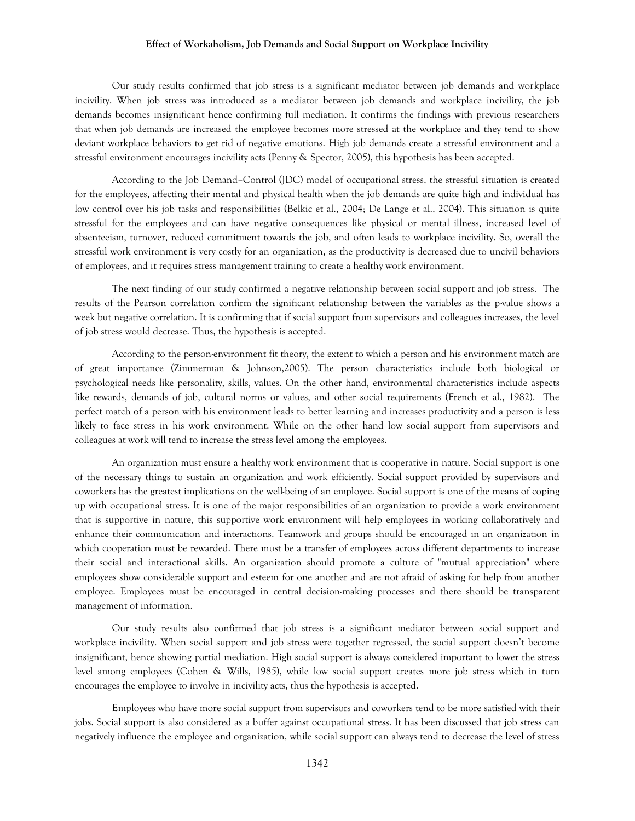Our study results confirmed that job stress is a significant mediator between job demands and workplace incivility. When job stress was introduced as a mediator between job demands and workplace incivility, the job demands becomes insignificant hence confirming full mediation. It confirms the findings with previous researchers that when job demands are increased the employee becomes more stressed at the workplace and they tend to show deviant workplace behaviors to get rid of negative emotions. High job demands create a stressful environment and a stressful environment encourages incivility acts (Penny & Spector, 2005), this hypothesis has been accepted.

According to the Job Demand–Control (JDC) model of occupational stress, the stressful situation is created for the employees, affecting their mental and physical health when the job demands are quite high and individual has low control over his job tasks and responsibilities (Belkic et al., 2004; De Lange et al., 2004). This situation is quite stressful for the employees and can have negative consequences like physical or mental illness, increased level of absenteeism, turnover, reduced commitment towards the job, and often leads to workplace incivility. So, overall the stressful work environment is very costly for an organization, as the productivity is decreased due to uncivil behaviors of employees, and it requires stress management training to create a healthy work environment.

The next finding of our study confirmed a negative relationship between social support and job stress. The results of the Pearson correlation confirm the significant relationship between the variables as the p-value shows a week but negative correlation. It is confirming that if social support from supervisors and colleagues increases, the level of job stress would decrease. Thus, the hypothesis is accepted.

According to the person-environment fit theory, the extent to which a person and his environment match are of great importance (Zimmerman & Johnson,2005). The person characteristics include both biological or psychological needs like personality, skills, values. On the other hand, environmental characteristics include aspects like rewards, demands of job, cultural norms or values, and other social requirements (French et al., 1982). The perfect match of a person with his environment leads to better learning and increases productivity and a person is less likely to face stress in his work environment. While on the other hand low social support from supervisors and colleagues at work will tend to increase the stress level among the employees.

An organization must ensure a healthy work environment that is cooperative in nature. Social support is one of the necessary things to sustain an organization and work efficiently. Social support provided by supervisors and coworkers has the greatest implications on the well-being of an employee. Social support is one of the means of coping up with occupational stress. It is one of the major responsibilities of an organization to provide a work environment that is supportive in nature, this supportive work environment will help employees in working collaboratively and enhance their communication and interactions. Teamwork and groups should be encouraged in an organization in which cooperation must be rewarded. There must be a transfer of employees across different departments to increase their social and interactional skills. An organization should promote a culture of "mutual appreciation" where employees show considerable support and esteem for one another and are not afraid of asking for help from another employee. Employees must be encouraged in central decision-making processes and there should be transparent management of information.

Our study results also confirmed that job stress is a significant mediator between social support and workplace incivility. When social support and job stress were together regressed, the social support doesn't become insignificant, hence showing partial mediation. High social support is always considered important to lower the stress level among employees (Cohen & Wills, 1985), while low social support creates more job stress which in turn encourages the employee to involve in incivility acts, thus the hypothesis is accepted.

Employees who have more social support from supervisors and coworkers tend to be more satisfied with their jobs. Social support is also considered as a buffer against occupational stress. It has been discussed that job stress can negatively influence the employee and organization, while social support can always tend to decrease the level of stress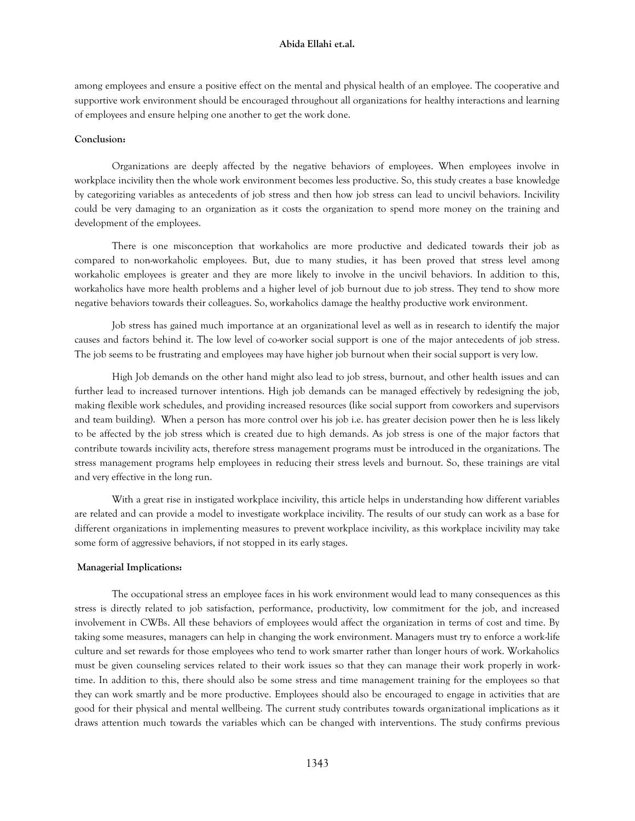among employees and ensure a positive effect on the mental and physical health of an employee. The cooperative and supportive work environment should be encouraged throughout all organizations for healthy interactions and learning of employees and ensure helping one another to get the work done.

### **Conclusion:**

Organizations are deeply affected by the negative behaviors of employees. When employees involve in workplace incivility then the whole work environment becomes less productive. So, this study creates a base knowledge by categorizing variables as antecedents of job stress and then how job stress can lead to uncivil behaviors. Incivility could be very damaging to an organization as it costs the organization to spend more money on the training and development of the employees.

There is one misconception that workaholics are more productive and dedicated towards their job as compared to non-workaholic employees. But, due to many studies, it has been proved that stress level among workaholic employees is greater and they are more likely to involve in the uncivil behaviors. In addition to this, workaholics have more health problems and a higher level of job burnout due to job stress. They tend to show more negative behaviors towards their colleagues. So, workaholics damage the healthy productive work environment.

Job stress has gained much importance at an organizational level as well as in research to identify the major causes and factors behind it. The low level of co-worker social support is one of the major antecedents of job stress. The job seems to be frustrating and employees may have higher job burnout when their social support is very low.

High Job demands on the other hand might also lead to job stress, burnout, and other health issues and can further lead to increased turnover intentions. High job demands can be managed effectively by redesigning the job, making flexible work schedules, and providing increased resources (like social support from coworkers and supervisors and team building). When a person has more control over his job i.e. has greater decision power then he is less likely to be affected by the job stress which is created due to high demands. As job stress is one of the major factors that contribute towards incivility acts, therefore stress management programs must be introduced in the organizations. The stress management programs help employees in reducing their stress levels and burnout. So, these trainings are vital and very effective in the long run.

With a great rise in instigated workplace incivility, this article helps in understanding how different variables are related and can provide a model to investigate workplace incivility. The results of our study can work as a base for different organizations in implementing measures to prevent workplace incivility, as this workplace incivility may take some form of aggressive behaviors, if not stopped in its early stages.

#### **Managerial Implications:**

The occupational stress an employee faces in his work environment would lead to many consequences as this stress is directly related to job satisfaction, performance, productivity, low commitment for the job, and increased involvement in CWBs. All these behaviors of employees would affect the organization in terms of cost and time. By taking some measures, managers can help in changing the work environment. Managers must try to enforce a work-life culture and set rewards for those employees who tend to work smarter rather than longer hours of work. Workaholics must be given counseling services related to their work issues so that they can manage their work properly in worktime. In addition to this, there should also be some stress and time management training for the employees so that they can work smartly and be more productive. Employees should also be encouraged to engage in activities that are good for their physical and mental wellbeing. The current study contributes towards organizational implications as it draws attention much towards the variables which can be changed with interventions. The study confirms previous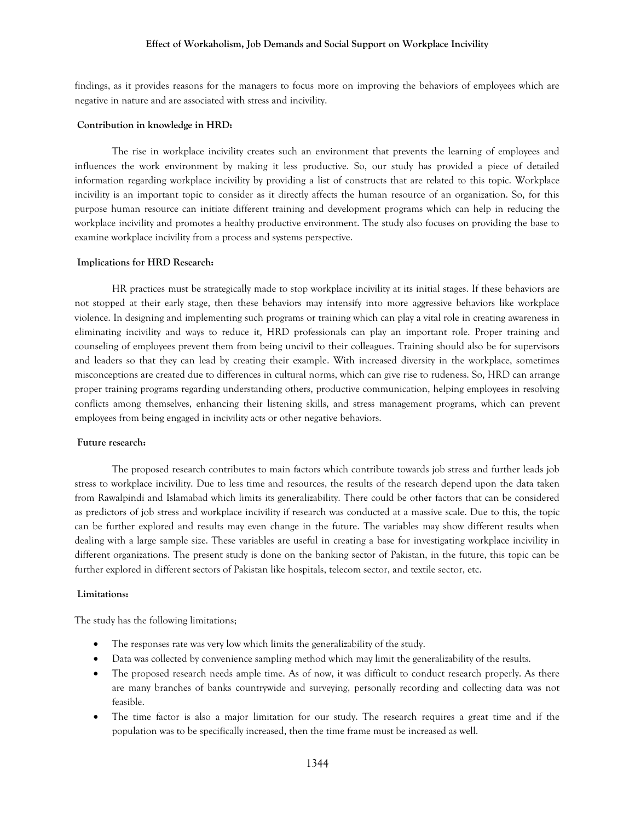findings, as it provides reasons for the managers to focus more on improving the behaviors of employees which are negative in nature and are associated with stress and incivility.

### **Contribution in knowledge in HRD:**

The rise in workplace incivility creates such an environment that prevents the learning of employees and influences the work environment by making it less productive. So, our study has provided a piece of detailed information regarding workplace incivility by providing a list of constructs that are related to this topic. Workplace incivility is an important topic to consider as it directly affects the human resource of an organization. So, for this purpose human resource can initiate different training and development programs which can help in reducing the workplace incivility and promotes a healthy productive environment. The study also focuses on providing the base to examine workplace incivility from a process and systems perspective.

### **Implications for HRD Research:**

HR practices must be strategically made to stop workplace incivility at its initial stages. If these behaviors are not stopped at their early stage, then these behaviors may intensify into more aggressive behaviors like workplace violence. In designing and implementing such programs or training which can play a vital role in creating awareness in eliminating incivility and ways to reduce it, HRD professionals can play an important role. Proper training and counseling of employees prevent them from being uncivil to their colleagues. Training should also be for supervisors and leaders so that they can lead by creating their example. With increased diversity in the workplace, sometimes misconceptions are created due to differences in cultural norms, which can give rise to rudeness. So, HRD can arrange proper training programs regarding understanding others, productive communication, helping employees in resolving conflicts among themselves, enhancing their listening skills, and stress management programs, which can prevent employees from being engaged in incivility acts or other negative behaviors.

### **Future research:**

The proposed research contributes to main factors which contribute towards job stress and further leads job stress to workplace incivility. Due to less time and resources, the results of the research depend upon the data taken from Rawalpindi and Islamabad which limits its generalizability. There could be other factors that can be considered as predictors of job stress and workplace incivility if research was conducted at a massive scale. Due to this, the topic can be further explored and results may even change in the future. The variables may show different results when dealing with a large sample size. These variables are useful in creating a base for investigating workplace incivility in different organizations. The present study is done on the banking sector of Pakistan, in the future, this topic can be further explored in different sectors of Pakistan like hospitals, telecom sector, and textile sector, etc.

### **Limitations:**

The study has the following limitations;

- The responses rate was very low which limits the generalizability of the study.
- Data was collected by convenience sampling method which may limit the generalizability of the results.
- The proposed research needs ample time. As of now, it was difficult to conduct research properly. As there are many branches of banks countrywide and surveying, personally recording and collecting data was not feasible.
- The time factor is also a major limitation for our study. The research requires a great time and if the population was to be specifically increased, then the time frame must be increased as well.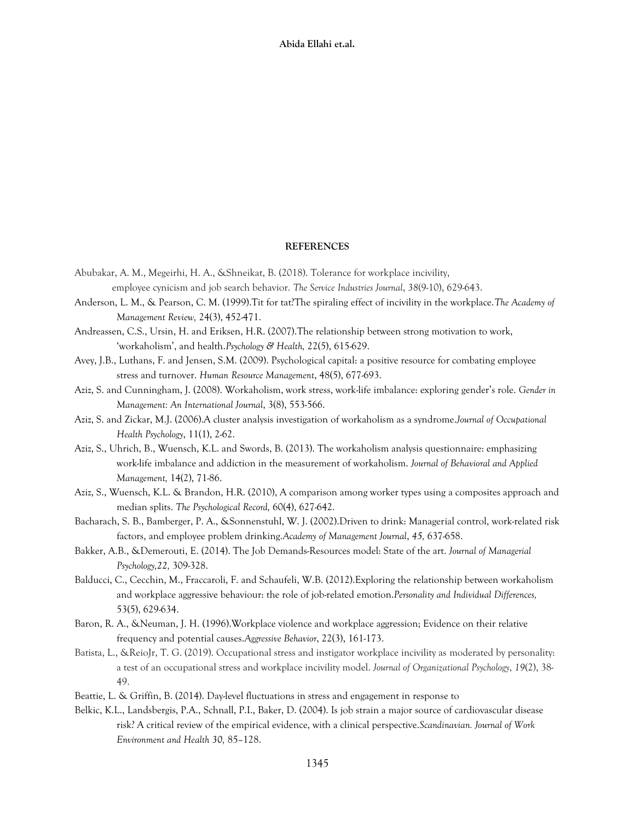#### **REFERENCES**

- Abubakar, A. M., Megeirhi, H. A., &Shneikat, B. (2018). Tolerance for workplace incivility, employee cynicism and job search behavior. *The Service Industries Journal*, *38*(9-10), 629-643.
- Anderson, L. M., & Pearson, C. M. (1999).Tit for tat?The spiraling effect of incivility in the workplace.*The Academy of Management Review,* 24(3), 452-471.
- Andreassen, C.S., Ursin, H. and Eriksen, H.R. (2007).The relationship between strong motivation to work, 'workaholism', and health.*Psychology & Health,* 22(5), 615-629.
- Avey, J.B., Luthans, F. and Jensen, S.M. (2009). Psychological capital: a positive resource for combating employee stress and turnover. *Human Resource Management*, 48(5), 677-693.
- Aziz, S. and Cunningham, J. (2008). Workaholism, work stress, work-life imbalance: exploring gender's role. *Gender in Management: An International Journal*, 3(8), 553-566.
- Aziz, S. and Zickar, M.J. (2006).A cluster analysis investigation of workaholism as a syndrome.*Journal of Occupational Health Psychology*, 11(1), 2-62.
- Aziz, S., Uhrich, B., Wuensch, K.L. and Swords, B. (2013). The workaholism analysis questionnaire: emphasizing work-life imbalance and addiction in the measurement of workaholism. *Journal of Behavioral and Applied Management,* 14(2), 71-86.
- Aziz, S., Wuensch, K.L. & Brandon, H.R. (2010), A comparison among worker types using a composites approach and median splits. *The Psychological Record,* 60(4), 627-642.
- Bacharach, S. B., Bamberger, P. A., &Sonnenstuhl, W. J. (2002).Driven to drink: Managerial control, work-related risk factors, and employee problem drinking.*Academy of Management Journal*, *45,* 637-658.
- Bakker, A.B., &Demerouti, E. (2014). The Job Demands-Resources model: State of the art. *Journal of Managerial Psychology,22,* 309-328.
- Balducci, C., Cecchin, M., Fraccaroli, F. and Schaufeli, W.B. (2012).Exploring the relationship between workaholism and workplace aggressive behaviour: the role of job-related emotion.*Personality and Individual Differences,* 53(5), 629-634.
- Baron, R. A., &Neuman, J. H. (1996).Workplace violence and workplace aggression; Evidence on their relative frequency and potential causes.*Aggressive Behavior*, 22(3), 161-173.
- Batista, L., &ReioJr, T. G. (2019). Occupational stress and instigator workplace incivility as moderated by personality: a test of an occupational stress and workplace incivility model. *Journal of Organizational Psychology*, *19*(2), 38- 49.
- Beattie, L. & Griffin, B. (2014). Day-level fluctuations in stress and engagement in response to
- Belkic, K.L., Landsbergis, P.A., Schnall, P.I., Baker, D. (2004). Is job strain a major source of cardiovascular disease risk? A critical review of the empirical evidence, with a clinical perspective.*Scandinavian. Journal of Work Environment and Health 30,* 85–128.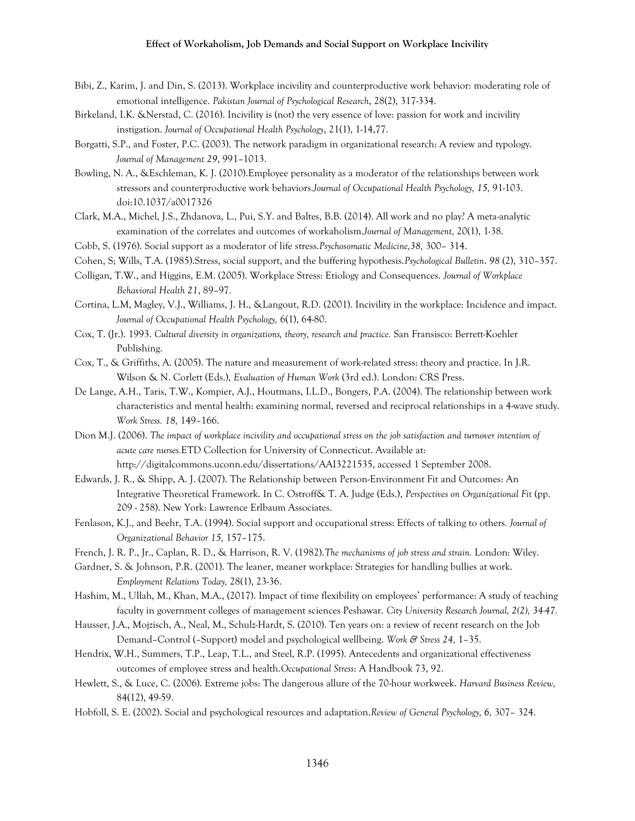- Bibi, Z., Karim, J. and Din, S. (2013). Workplace incivility and counterproductive work behavior: moderating role of emotional intelligence. *Pakistan Journal of Psychological Research*, 28(2), 317-334.
- Birkeland, I.K. &Nerstad, C. (2016). Incivility is (not) the very essence of love: passion for work and incivility instigation. *Journal of Occupational Health Psychology*, 21(1), 1-14,77.
- Borgatti, S.P., and Foster, P.C. (2003). The network paradigm in organizational research: A review and typology. *Journal of Management 29*, 991–1013.
- Bowling, N. A., &Eschleman, K. J. (2010).Employee personality as a moderator of the relationships between work stressors and counterproductive work behaviors.*Journal of Occupational Health Psychology, 15,* 91-103. doi:10.1037/a0017326
- Clark, M.A., Michel, J.S., Zhdanova, L., Pui, S.Y. and Baltes, B.B. (2014). All work and no play? A meta-analytic examination of the correlates and outcomes of workaholism.*Journal of Management,* 20(1), 1-38.
- Cobb, S. (1976). Social support as a moderator of life stress.*Psychosomatic Medicine,38,* 300– 314.
- Cohen, S; Wills, T.A. (1985).Stress, social support, and the buffering hypothesis.*Psychological Bulletin*. *98* (2), 310–357.
- Colligan, T.W., and Higgins, E.M. (2005). Workplace Stress: Etiology and Consequences. *Journal of Workplace Behavioral Health 21*, 89–97.
- Cortina, L.M, Magley, V.J., Williams, J. H., &Langout, R.D. (2001). Incivility in the workplace: Incidence and impact. *Journal of Occupational Health Psychology,* 6(1), 64-80.
- Cox, T. (Jr.). 1993. *Cultural diversity in organizations, theory, research and practice.* San Fransisco: Berrett-Koehler Publishing.
- Cox, T., & Griffiths, A. (2005). The nature and measurement of work-related stress: theory and practice. In J.R. Wilson & N. Corlett (Eds.), *Evaluation of Human Work* (3rd ed.). London: CRS Press.
- De Lange, A.H., Taris, T.W., Kompier, A.J., Houtmans, I.L.D., Bongers, P.A. (2004). The relationship between work characteristics and mental health: examining normal, reversed and reciprocal relationships in a 4-wave study. *Work Stress. 18,* 149–166.
- Dion M.J. (2006). *The impact of workplace incivility and occupational stress on the job satisfaction and turnover intention of acute care nurses.*ETD Collection for University of Connecticut. Available at: http://digitalcommons.uconn.edu/dissertations/AAI3221535, accessed 1 September 2008.
- Edwards, J. R., & Shipp, A. J. (2007). The Relationship between Person-Environment Fit and Outcomes: An Integrative Theoretical Framework. In C. Ostroff& T. A. Judge (Eds.), *Perspectives on Organizational Fit* (pp. 209 - 258). New York: Lawrence Erlbaum Associates.
- Fenlason, K.J., and Beehr, T.A. (1994). Social support and occupational stress: Effects of talking to others*. Journal of Organizational Behavior 15,* 157–175.
- French, J. R. P., Jr., Caplan, R. D., & Harrison, R. V. (1982).*The mechanisms of job stress and strain.* London: Wiley.
- Gardner, S. & Johnson, P.R. (2001). The leaner, meaner workplace: Strategies for handling bullies at work. *Employment Relations Today,* 28(1), 23-36.
- Hashim, M., Ullah, M., Khan, M.A., (2017). Impact of time flexibility on employees' performance: A study of teaching faculty in government colleges of management sciences Peshawar. *City University Research Journal, 2(2), 34-47.*
- Hausser, J.A., Mojzisch, A., Neal, M., Schulz-Hardt, S. (2010). Ten years on: a review of recent research on the Job Demand–Control (–Support) model and psychological wellbeing. *Work & Stress 24,* 1–35.
- Hendrix, W.H., Summers, T.P., Leap, T.L., and Steel, R.P. (1995). Antecedents and organizational effectiveness outcomes of employee stress and health.*Occupational Stress*: A Handbook 73, 92.
- Hewlett, S., & Luce, C. (2006). Extreme jobs: The dangerous allure of the 70-hour workweek. *Harvard Business Review,* 84(12), 49-59.
- Hobfoll, S. E. (2002). Social and psychological resources and adaptation.*Review of General Psychology, 6,* 307– 324.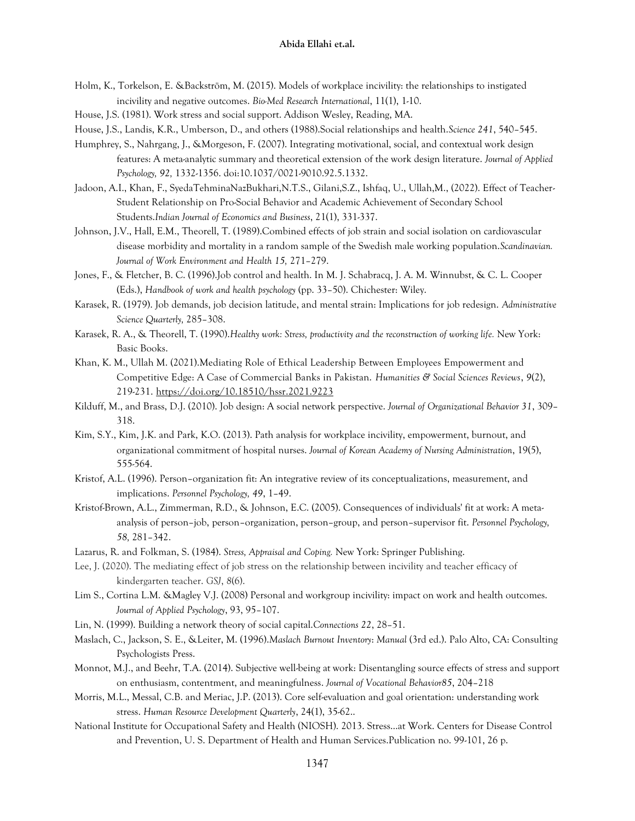- Holm, K., Torkelson, E. &Backström, M. (2015). Models of workplace incivility: the relationships to instigated incivility and negative outcomes. *Bio-Med Research International*, 11(1), 1-10.
- House, J.S. (1981). Work stress and social support. Addison Wesley, Reading, MA.
- House, J.S., Landis, K.R., Umberson, D., and others (1988).Social relationships and health.*Science 241*, 540–545.
- Humphrey, S., Nahrgang, J., &Morgeson, F. (2007). Integrating motivational, social, and contextual work design features: A meta-analytic summary and theoretical extension of the work design literature. *Journal of Applied Psychology, 92,* 1332-1356. doi:10.1037/0021-9010.92.5.1332.
- Jadoon, A.I., Khan, F., SyedaTehminaNazBukhari,N.T.S., Gilani,S.Z., Ishfaq, U., Ullah,M., (2022). Effect of Teacher-Student Relationship on Pro-Social Behavior and Academic Achievement of Secondary School Students.*Indian Journal of Economics and Business*, 21(1), 331-337.
- Johnson, J.V., Hall, E.M., Theorell, T. (1989).Combined effects of job strain and social isolation on cardiovascular disease morbidity and mortality in a random sample of the Swedish male working population.*Scandinavian. Journal of Work Environment and Health 15,* 271–279.
- Jones, F., & Fletcher, B. C. (1996).Job control and health. In M. J. Schabracq, J. A. M. Winnubst, & C. L. Cooper (Eds.), *Handbook of work and health psychology* (pp. 33–50). Chichester: Wiley.
- Karasek, R. (1979). Job demands, job decision latitude, and mental strain: Implications for job redesign. *Administrative Science Quarterly,* 285–308.
- Karasek, R. A., & Theorell, T. (1990).*Healthy work: Stress, productivity and the reconstruction of working life.* New York: Basic Books.
- Khan, K. M., Ullah M. (2021).Mediating Role of Ethical Leadership Between Employees Empowerment and Competitive Edge: A Case of Commercial Banks in Pakistan. *Humanities & Social Sciences Reviews*, *9*(2), 219-231.<https://doi.org/10.18510/hssr.2021.9223>
- Kilduff, M., and Brass, D.J. (2010). Job design: A social network perspective. *Journal of Organizational Behavior 31*, 309– 318.
- Kim, S.Y., Kim, J.K. and Park, K.O. (2013). Path analysis for workplace incivility, empowerment, burnout, and organizational commitment of hospital nurses. *Journal of Korean Academy of Nursing Administration*, 19(5), 555-564.
- Kristof, A.L. (1996). Person–organization fit: An integrative review of its conceptualizations, measurement, and implications. *Personnel Psychology, 49*, 1–49.
- Kristof-Brown, A.L., Zimmerman, R.D., & Johnson, E.C. (2005). Consequences of individuals' fit at work: A metaanalysis of person–job, person–organization, person–group, and person–supervisor fit. *Personnel Psychology, 58,* 281–342.
- Lazarus, R. and Folkman, S. (1984). *Stress, Appraisal and Coping.* New York: Springer Publishing.
- Lee, J. (2020). The mediating effect of job stress on the relationship between incivility and teacher efficacy of kindergarten teacher. *GSJ*, *8*(6).
- Lim S., Cortina L.M. &Magley V.J. (2008) Personal and workgroup incivility: impact on work and health outcomes. *Journal of Applied Psychology*, 93, 95–107.
- Lin, N. (1999). Building a network theory of social capital.*Connections 22*, 28–51.
- Maslach, C., Jackson, S. E., &Leiter, M. (1996).*Maslach Burnout Inventory*: *Manual* (3rd ed.). Palo Alto, CA: Consulting Psychologists Press.
- Monnot, M.J., and Beehr, T.A. (2014). Subjective well-being at work: Disentangling source effects of stress and support on enthusiasm, contentment, and meaningfulness. *Journal of Vocational Behavior85*, 204–218
- Morris, M.L., Messal, C.B. and Meriac, J.P. (2013). Core self-evaluation and goal orientation: understanding work stress. *Human Resource Development Quarterly*, 24(1), 35-62..
- National Institute for Occupational Safety and Health (NIOSH). 2013. Stress…at Work. Centers for Disease Control and Prevention, U. S. Department of Health and Human Services.Publication no. 99-101, 26 p.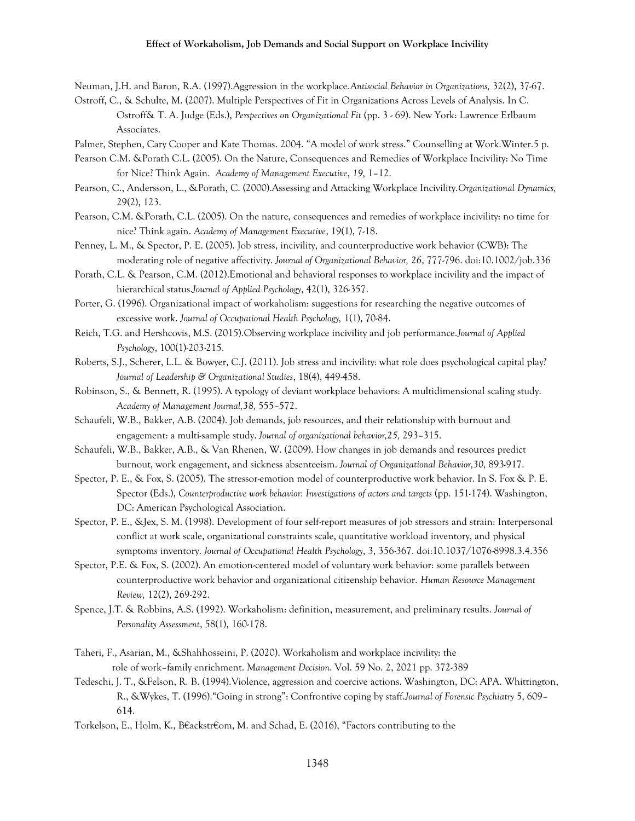Neuman, J.H. and Baron, R.A. (1997).Aggression in the workplace.*Antisocial Behavior in Organizations,* 32(2), 37-67.

Ostroff, C., & Schulte, M. (2007). Multiple Perspectives of Fit in Organizations Across Levels of Analysis. In C. Ostroff& T. A. Judge (Eds.), *Perspectives on Organizational Fit* (pp. 3 - 69). New York: Lawrence Erlbaum Associates.

Palmer, Stephen, Cary Cooper and Kate Thomas. 2004. "A model of work stress." Counselling at Work.Winter.5 p.

- Pearson C.M. &Porath C.L. (2005). On the Nature, Consequences and Remedies of Workplace Incivility: No Time for Nice? Think Again. *Academy of Management Executive*, *19,* 1–12.
- Pearson, C., Andersson, L., &Porath, C. (2000).Assessing and Attacking Workplace Incivility.*Organizational Dynamics,* 29(2), 123.
- Pearson, C.M. &Porath, C.L. (2005). On the nature, consequences and remedies of workplace incivility: no time for nice? Think again. *Academy of Management Executive*, 19(1), 7-18.
- Penney, L. M., & Spector, P. E. (2005). Job stress, incivility, and counterproductive work behavior (CWB): The moderating role of negative affectivity. *Journal of Organizational Behavior, 26*, 777-796. doi:10.1002/job.336
- Porath, C.L. & Pearson, C.M. (2012).Emotional and behavioral responses to workplace incivility and the impact of hierarchical status.*Journal of Applied Psychology*, 42(1), 326-357.
- Porter, G. (1996). Organizational impact of workaholism: suggestions for researching the negative outcomes of excessive work. *Journal of Occupational Health Psychology,* 1(1), 70-84.
- Reich, T.G. and Hershcovis, M.S. (2015).Observing workplace incivility and job performance.*Journal of Applied Psychology*, 100(1)-203-215.
- Roberts, S.J., Scherer, L.L. & Bowyer, C.J. (2011). Job stress and incivility: what role does psychological capital play? *Journal of Leadership & Organizational Studies*, 18(4), 449-458.
- Robinson, S., & Bennett, R. (1995). A typology of deviant workplace behaviors: A multidimensional scaling study. *Academy of Management Journal,38,* 555–572.
- Schaufeli, W.B., Bakker, A.B. (2004). Job demands, job resources, and their relationship with burnout and engagement: a multi-sample study. *Journal of organizational behavior,25,* 293–315.
- Schaufeli, W.B., Bakker, A.B., & Van Rhenen, W. (2009). How changes in job demands and resources predict burnout, work engagement, and sickness absenteeism. *Journal of Organizational Behavior,30,* 893-917.
- Spector, P. E., & Fox, S. (2005). The stressor-emotion model of counterproductive work behavior. In S. Fox & P. E. Spector (Eds.), *Counterproductive work behavior: Investigations of actors and targets* (pp. 151-174). Washington, DC: American Psychological Association.
- Spector, P. E., &Jex, S. M. (1998). Development of four self-report measures of job stressors and strain: Interpersonal conflict at work scale, organizational constraints scale, quantitative workload inventory, and physical symptoms inventory. *Journal of Occupational Health Psychology*, 3, 356-367. doi:10.1037/1076-8998.3.4.356
- Spector, P.E. & Fox, S. (2002). An emotion-centered model of voluntary work behavior: some parallels between counterproductive work behavior and organizational citizenship behavior. *Human Resource Management Review,* 12(2), 269-292.
- Spence, J.T. & Robbins, A.S. (1992). Workaholism: definition, measurement, and preliminary results. *Journal of Personality Assessment*, 58(1), 160-178.
- Taheri, F., Asarian, M., &Shahhosseini, P. (2020). Workaholism and workplace incivility: the role of work–family enrichment. *Management Decision*. Vol. 59 No. 2, 2021 pp. 372-389
- Tedeschi, J. T., &Felson, R. B. (1994).Violence, aggression and coercive actions. Washington, DC: APA. Whittington, R., &Wykes, T. (1996)."Going in strong": Confrontive coping by staff.*Journal of Forensic Psychiatry* 5, 609– 614.
- Torkelson, E., Holm, K., B€ackstr€om, M. and Schad, E. (2016), "Factors contributing to the